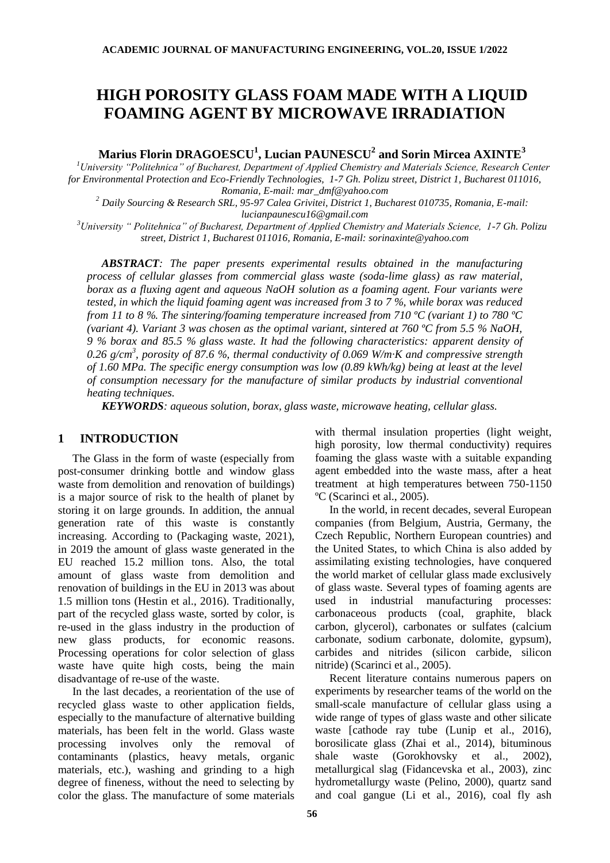# **HIGH POROSITY GLASS FOAM MADE WITH A LIQUID FOAMING AGENT BY MICROWAVE IRRADIATION**

**Marius Florin DRAGOESCU<sup>1</sup> , Lucian PAUNESCU<sup>2</sup> and Sorin Mircea AXINTE<sup>3</sup>**

*<sup>1</sup>University "Politehnica" of Bucharest, Department of Applied Chemistry and Materials Science, Research Center for Environmental Protection and Eco-Friendly Technologies, 1-7 Gh. Polizu street, District 1, Bucharest 011016, Romania, E-mail: mar\_dmf@yahoo.com*

*<sup>2</sup> Daily Sourcing & Research SRL, 95-97 Calea Grivitei, District 1, Bucharest 010735, Romania, E-mail: lucianpaunescu16@gmail.com*

*<sup>3</sup>University " Politehnica" of Bucharest, Department of Applied Chemistry and Materials Science, 1-7 Gh. Polizu street, District 1, Bucharest 011016, Romania, E-mail: sorinaxinte@yahoo.com*

*ABSTRACT: The paper presents experimental results obtained in the manufacturing process of cellular glasses from commercial glass waste (soda-lime glass) as raw material, borax as a fluxing agent and aqueous NaOH solution as a foaming agent. Four variants were tested, in which the liquid foaming agent was increased from 3 to 7 %, while borax was reduced from 11 to 8 %. The sintering/foaming temperature increased from 710 ºC (variant 1) to 780 ºC (variant 4). Variant 3 was chosen as the optimal variant, sintered at 760 ºC from 5.5 % NaOH, 9 % borax and 85.5 % glass waste. It had the following characteristics: apparent density of 0.26 g/cm<sup>3</sup> , porosity of 87.6 %, thermal conductivity of 0.069 W/m·K and compressive strength of 1.60 MPa. The specific energy consumption was low (0.89 kWh/kg) being at least at the level of consumption necessary for the manufacture of similar products by industrial conventional heating techniques.*

*KEYWORDS: aqueous solution, borax, glass waste, microwave heating, cellular glass.*

## **1 INTRODUCTION**

The Glass in the form of waste (especially from post-consumer drinking bottle and window glass waste from demolition and renovation of buildings) is a major source of risk to the health of planet by storing it on large grounds. In addition, the annual generation rate of this waste is constantly increasing. According to (Packaging waste, 2021), in 2019 the amount of glass waste generated in the EU reached 15.2 million tons. Also, the total amount of glass waste from demolition and renovation of buildings in the EU in 2013 was about 1.5 million tons (Hestin et al., 2016). Traditionally, part of the recycled glass waste, sorted by color, is re-used in the glass industry in the production of new glass products, for economic reasons. Processing operations for color selection of glass waste have quite high costs, being the main disadvantage of re-use of the waste.

In the last decades, a reorientation of the use of recycled glass waste to other application fields, especially to the manufacture of alternative building materials, has been felt in the world. Glass waste processing involves only the removal of contaminants (plastics, heavy metals, organic materials, etc.), washing and grinding to a high degree of fineness, without the need to selecting by color the glass. The manufacture of some materials

with thermal insulation properties (light weight, high porosity, low thermal conductivity) requires foaming the glass waste with a suitable expanding agent embedded into the waste mass, after a heat treatment at high temperatures between 750-1150 ºC (Scarinci et al., 2005).

In the world, in recent decades, several European companies (from Belgium, Austria, Germany, the Czech Republic, Northern European countries) and the United States, to which China is also added by assimilating existing technologies, have conquered the world market of cellular glass made exclusively of glass waste. Several types of foaming agents are used in industrial manufacturing processes: carbonaceous products (coal, graphite, black carbon, glycerol), carbonates or sulfates (calcium carbonate, sodium carbonate, dolomite, gypsum), carbides and nitrides (silicon carbide, silicon nitride) (Scarinci et al., 2005).

Recent literature contains numerous papers on experiments by researcher teams of the world on the small-scale manufacture of cellular glass using a wide range of types of glass waste and other silicate waste [cathode ray tube (Lunip et al., 2016), borosilicate glass (Zhai et al., 2014), bituminous shale waste (Gorokhovsky et al., 2002), metallurgical slag (Fidancevska et al., 2003), zinc hydrometallurgy waste (Pelino, 2000), quartz sand and coal gangue (Li et al., 2016), coal fly ash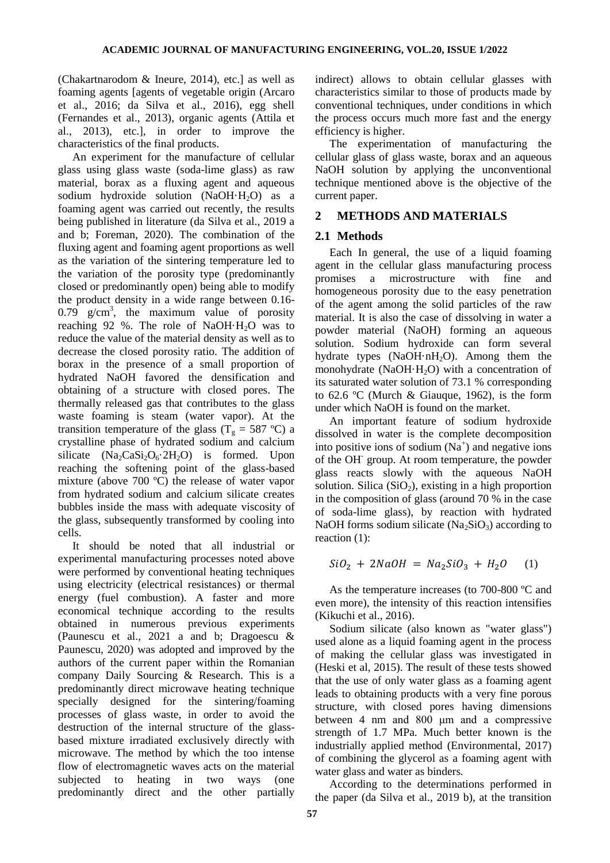(Chakartnarodom & Ineure, 2014), etc.] as well as foaming agents [agents of vegetable origin (Arcaro et al., 2016; da Silva et al., 2016), egg shell (Fernandes et al., 2013), organic agents (Attila et al., 2013), etc.], in order to improve the characteristics of the final products.

An experiment for the manufacture of cellular glass using glass waste (soda-lime glass) as raw material, borax as a fluxing agent and aqueous sodium hydroxide solution (NaOH·H2O) as a foaming agent was carried out recently, the results being published in literature (da Silva et al., 2019 a and b; Foreman, 2020). The combination of the fluxing agent and foaming agent proportions as well as the variation of the sintering temperature led to the variation of the porosity type (predominantly closed or predominantly open) being able to modify the product density in a wide range between 0.16- 0.79  $g/cm<sup>3</sup>$ , the maximum value of porosity reaching 92 %. The role of NaOH $\cdot$ H<sub>2</sub>O was to reduce the value of the material density as well as to decrease the closed porosity ratio. The addition of borax in the presence of a small proportion of hydrated NaOH favored the densification and obtaining of a structure with closed pores. The thermally released gas that contributes to the glass waste foaming is steam (water vapor). At the transition temperature of the glass ( $T_g = 587$  °C) a crystalline phase of hydrated sodium and calcium silicate  $(Na_2CaSi_2O_6.2H_2O)$  is formed. Upon reaching the softening point of the glass-based mixture (above 700 ºC) the release of water vapor from hydrated sodium and calcium silicate creates bubbles inside the mass with adequate viscosity of the glass, subsequently transformed by cooling into cells.

It should be noted that all industrial or experimental manufacturing processes noted above were performed by conventional heating techniques using electricity (electrical resistances) or thermal energy (fuel combustion). A faster and more economical technique according to the results obtained in numerous previous experiments (Paunescu et al., 2021 a and b; Dragoescu & Paunescu, 2020) was adopted and improved by the authors of the current paper within the Romanian company Daily Sourcing & Research. This is a predominantly direct microwave heating technique specially designed for the sintering/foaming processes of glass waste, in order to avoid the destruction of the internal structure of the glassbased mixture irradiated exclusively directly with microwave. The method by which the too intense flow of electromagnetic waves acts on the material subjected to heating in two ways (one predominantly direct and the other partially

indirect) allows to obtain cellular glasses with characteristics similar to those of products made by conventional techniques, under conditions in which the process occurs much more fast and the energy efficiency is higher.

The experimentation of manufacturing the cellular glass of glass waste, borax and an aqueous NaOH solution by applying the unconventional technique mentioned above is the objective of the current paper.

## **2 METHODS AND MATERIALS**

## **2.1 Methods**

Each In general, the use of a liquid foaming agent in the cellular glass manufacturing process promises a microstructure with fine and homogeneous porosity due to the easy penetration of the agent among the solid particles of the raw material. It is also the case of dissolving in water a powder material (NaOH) forming an aqueous solution. Sodium hydroxide can form several hydrate types  $(NaOH\cdot nH_2O)$ . Among them the monohydrate  $(NaOH·H<sub>2</sub>O)$  with a concentration of its saturated water solution of 73.1 % corresponding to 62.6 ºC (Murch & Giauque, 1962), is the form under which NaOH is found on the market.

An important feature of sodium hydroxide dissolved in water is the complete decomposition into positive ions of sodium  $(Na<sup>+</sup>)$  and negative ions of the OH-group. At room temperature, the powder glass reacts slowly with the aqueous NaOH solution. Silica  $(SiO<sub>2</sub>)$ , existing in a high proportion in the composition of glass (around 70 % in the case of soda-lime glass), by reaction with hydrated NaOH forms sodium silicate  $(Na_2SiO_3)$  according to reaction (1):

$$
SiO_2 + 2NaOH = Na_2SiO_3 + H_2O \qquad (1)
$$

As the temperature increases (to 700-800 ºC and even more), the intensity of this reaction intensifies (Kikuchi et al., 2016).

Sodium silicate (also known as "water glass") used alone as a liquid foaming agent in the process of making the cellular glass was investigated in (Heski et al, 2015). The result of these tests showed that the use of only water glass as a foaming agent leads to obtaining products with a very fine porous structure, with closed pores having dimensions between 4 nm and 800 μm and a compressive strength of 1.7 MPa. Much better known is the industrially applied method (Environmental, 2017) of combining the glycerol as a foaming agent with water glass and water as binders.

According to the determinations performed in the paper (da Silva et al., 2019 b), at the transition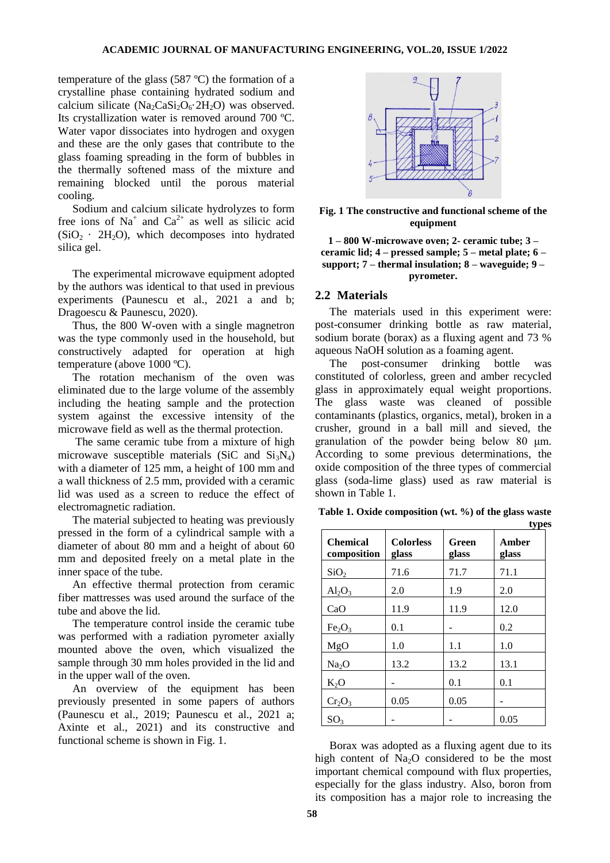temperature of the glass (587 ºC) the formation of a crystalline phase containing hydrated sodium and calcium silicate ( $Na_2CaSi_2O_6.2H_2O$ ) was observed. Its crystallization water is removed around 700 ºC. Water vapor dissociates into hydrogen and oxygen and these are the only gases that contribute to the glass foaming spreading in the form of bubbles in the thermally softened mass of the mixture and remaining blocked until the porous material cooling.

Sodium and calcium silicate hydrolyzes to form free ions of  $Na<sup>+</sup>$  and  $Ca<sup>2+</sup>$  as well as silicic acid  $(SiO<sub>2</sub> · 2H<sub>2</sub>O)$ , which decomposes into hydrated silica gel.

The experimental microwave equipment adopted by the authors was identical to that used in previous experiments (Paunescu et al., 2021 a and b; Dragoescu & Paunescu, 2020).

Thus, the 800 W-oven with a single magnetron was the type commonly used in the household, but constructively adapted for operation at high temperature (above 1000 ºC).

The rotation mechanism of the oven was eliminated due to the large volume of the assembly including the heating sample and the protection system against the excessive intensity of the microwave field as well as the thermal protection.

The same ceramic tube from a mixture of high microwave susceptible materials (SiC and  $Si<sub>3</sub>N<sub>4</sub>$ ) with a diameter of 125 mm, a height of 100 mm and a wall thickness of 2.5 mm, provided with a ceramic lid was used as a screen to reduce the effect of electromagnetic radiation.

The material subjected to heating was previously pressed in the form of a cylindrical sample with a diameter of about 80 mm and a height of about 60 mm and deposited freely on a metal plate in the inner space of the tube.

An effective thermal protection from ceramic fiber mattresses was used around the surface of the tube and above the lid.

The temperature control inside the ceramic tube was performed with a radiation pyrometer axially mounted above the oven, which visualized the sample through 30 mm holes provided in the lid and in the upper wall of the oven.

An overview of the equipment has been previously presented in some papers of authors (Paunescu et al., 2019; Paunescu et al., 2021 a; Axinte et al., 2021) and its constructive and functional scheme is shown in Fig. 1.



**Fig. 1 The constructive and functional scheme of the equipment**

**1 – 800 W-microwave oven; 2- ceramic tube; 3 – ceramic lid; 4 – pressed sample; 5 – metal plate; 6 – support; 7 – thermal insulation; 8 – waveguide; 9 – pyrometer.**

#### **2.2 Materials**

The materials used in this experiment were: post-consumer drinking bottle as raw material, sodium borate (borax) as a fluxing agent and 73 % aqueous NaOH solution as a foaming agent.

The post-consumer drinking bottle was constituted of colorless, green and amber recycled glass in approximately equal weight proportions. The glass waste was cleaned of possible contaminants (plastics, organics, metal), broken in a crusher, ground in a ball mill and sieved, the granulation of the powder being below 80 μm. According to some previous determinations, the oxide composition of the three types of commercial glass (soda-lime glass) used as raw material is shown in Table 1.

| <b>Chemical</b><br>composition | <b>Colorless</b><br>glass | Green<br>glass | Amber<br>glass |
|--------------------------------|---------------------------|----------------|----------------|
| SiO <sub>2</sub>               | 71.6                      | 71.7           | 71.1           |
| $Al_2O_3$                      | 2.0                       | 1.9            | 2.0            |
| CaO                            | 11.9                      | 11.9           | 12.0           |
| Fe <sub>2</sub> O <sub>3</sub> | 0.1                       |                | 0.2            |
| MgO                            | 1.0                       | 1.1            | 1.0            |
| Na <sub>2</sub> O              | 13.2                      | 13.2           | 13.1           |
| $K_2O$                         |                           | 0.1            | 0.1            |
| $Cr_2O_3$                      | 0.05                      | 0.05           |                |
| SO <sub>3</sub>                |                           |                | 0.05           |

**Table 1. Oxide composition (wt. %) of the glass waste types**

Borax was adopted as a fluxing agent due to its high content of  $Na<sub>2</sub>O$  considered to be the most important chemical compound with flux properties, especially for the glass industry. Also, boron from its composition has a major role to increasing the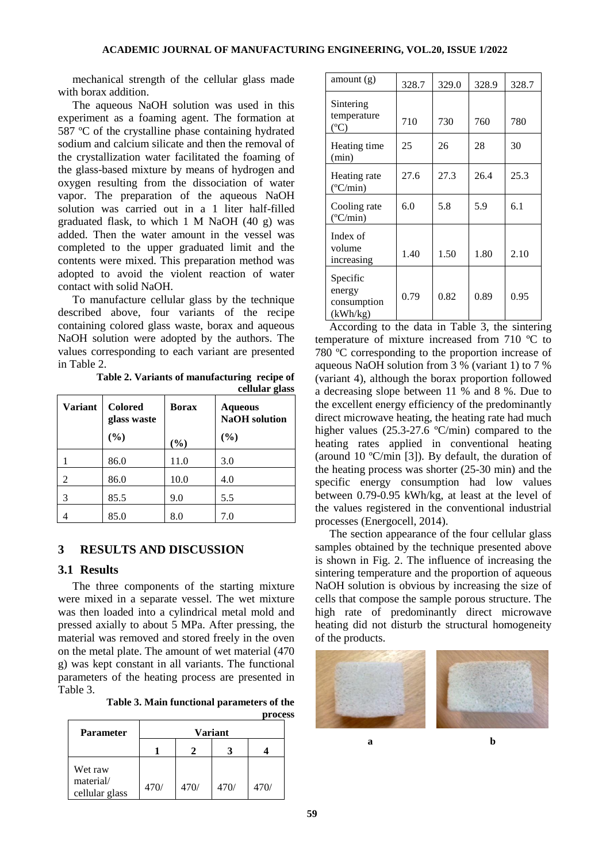mechanical strength of the cellular glass made with borax addition.

The aqueous NaOH solution was used in this experiment as a foaming agent. The formation at 587 ºC of the crystalline phase containing hydrated sodium and calcium silicate and then the removal of the crystallization water facilitated the foaming of the glass-based mixture by means of hydrogen and oxygen resulting from the dissociation of water vapor. The preparation of the aqueous NaOH solution was carried out in a 1 liter half-filled graduated flask, to which 1 M NaOH (40 g) was added. Then the water amount in the vessel was completed to the upper graduated limit and the contents were mixed. This preparation method was adopted to avoid the violent reaction of water contact with solid NaOH.

To manufacture cellular glass by the technique described above, four variants of the recipe containing colored glass waste, borax and aqueous NaOH solution were adopted by the authors. The values corresponding to each variant are presented in Table 2.

**Table 2. Variants of manufacturing recipe of cellular glass**

| Variant | <b>Colored</b><br>glass waste | Borax | <b>Aqueous</b><br><b>NaOH</b> solution |
|---------|-------------------------------|-------|----------------------------------------|
|         | (%)                           | (%)   | (%)                                    |
|         | 86.0                          | 11.0  | 3.0                                    |
| 2       | 86.0                          | 10.0  | 4.0                                    |
| 3       | 85.5                          | 9.0   | 5.5                                    |
|         | 85.0                          | 8.0   | 7.0                                    |

## **3 RESULTS AND DISCUSSION**

## **3.1 Results**

The three components of the starting mixture were mixed in a separate vessel. The wet mixture was then loaded into a cylindrical metal mold and pressed axially to about 5 MPa. After pressing, the material was removed and stored freely in the oven on the metal plate. The amount of wet material (470 g) was kept constant in all variants. The functional parameters of the heating process are presented in Table 3.

**Table 3. Main functional parameters of the process**

| Parameter                              | Variant |      |      |      |
|----------------------------------------|---------|------|------|------|
|                                        |         |      |      |      |
| Wet raw<br>material/<br>cellular glass | 470/    | 470/ | 470/ | 470/ |

| amount $(g)$                                  | 328.7 | 329.0 | 328.9 | 328.7 |
|-----------------------------------------------|-------|-------|-------|-------|
| Sintering<br>temperature                      |       |       |       |       |
| $(C^{\circ}C)$                                | 710   | 730   | 760   | 780   |
| Heating time<br>(min)                         | 25    | 26    | 28    | 30    |
| Heating rate<br>$(^{\circ}C/\text{min})$      | 27.6  | 27.3  | 26.4  | 25.3  |
| Cooling rate<br>$(^{\circ}C/min)$             | 6.0   | 5.8   | 5.9   | 6.1   |
| Index of                                      |       |       |       |       |
| volume<br>increasing                          | 1.40  | 1.50  | 1.80  | 2.10  |
| Specific<br>energy<br>consumption<br>(kWh/kg) | 0.79  | 0.82  | 0.89  | 0.95  |

According to the data in Table 3, the sintering temperature of mixture increased from 710 ºC to 780 ºC corresponding to the proportion increase of aqueous NaOH solution from 3 % (variant 1) to 7 % (variant 4), although the borax proportion followed a decreasing slope between 11 % and 8 %. Due to the excellent energy efficiency of the predominantly direct microwave heating, the heating rate had much higher values (25.3-27.6 °C/min) compared to the heating rates applied in conventional heating (around 10 ºC/min [3]). By default, the duration of the heating process was shorter (25-30 min) and the specific energy consumption had low values between 0.79-0.95 kWh/kg, at least at the level of the values registered in the conventional industrial processes (Energocell, 2014).

The section appearance of the four cellular glass samples obtained by the technique presented above is shown in Fig. 2. The influence of increasing the sintering temperature and the proportion of aqueous NaOH solution is obvious by increasing the size of cells that compose the sample porous structure. The high rate of predominantly direct microwave heating did not disturb the structural homogeneity of the products.



**a b**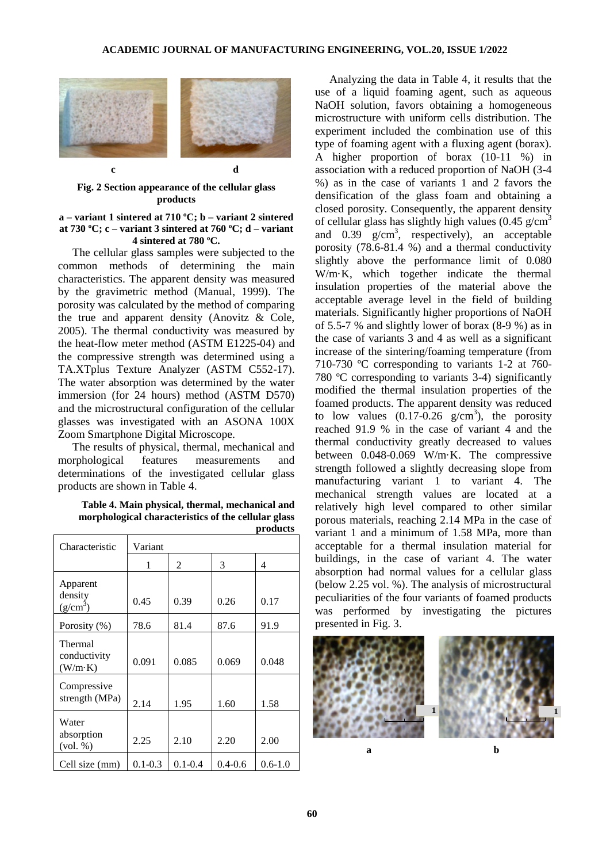

**Fig. 2 Section appearance of the cellular glass products**

#### **a – variant 1 sintered at 710 ºC; b – variant 2 sintered at 730 ºC; c – variant 3 sintered at 760 ºC; d – variant 4 sintered at 780 ºC.**

The cellular glass samples were subjected to the common methods of determining the main characteristics. The apparent density was measured by the gravimetric method (Manual, 1999). The porosity was calculated by the method of comparing the true and apparent density (Anovitz & Cole, 2005). The thermal conductivity was measured by the heat-flow meter method (ASTM E1225-04) and the compressive strength was determined using a TA.XTplus Texture Analyzer (ASTM C552-17). The water absorption was determined by the water immersion (for 24 hours) method (ASTM D570) and the microstructural configuration of the cellular glasses was investigated with an ASONA 100X Zoom Smartphone Digital Microscope.

The results of physical, thermal, mechanical and morphological features measurements and determinations of the investigated cellular glass products are shown in Table 4.

**Table 4. Main physical, thermal, mechanical and morphological characteristics of the cellular glass products**

| Characteristic                     | Variant     |                |             |             |
|------------------------------------|-------------|----------------|-------------|-------------|
|                                    | 1           | $\mathfrak{D}$ | 3           | 4           |
| Apparent<br>density<br>$(g/cm^3)$  | 0.45        | 0.39           | 0.26        | 0.17        |
| Porosity (%)                       | 78.6        | 81.4           | 87.6        | 91.9        |
| Thermal<br>conductivity<br>(W/m·K) | 0.091       | 0.085          | 0.069       | 0.048       |
| Compressive<br>strength (MPa)      | 2.14        | 1.95           | 1.60        | 1.58        |
| Water<br>absorption<br>(vol. %)    | 2.25        | 2.10           | 2.20        | 2.00        |
| Cell size (mm)                     | $0.1 - 0.3$ | $0.1 - 0.4$    | $0.4 - 0.6$ | $0.6 - 1.0$ |

Analyzing the data in Table 4, it results that the use of a liquid foaming agent, such as aqueous NaOH solution, favors obtaining a homogeneous microstructure with uniform cells distribution. The experiment included the combination use of this type of foaming agent with a fluxing agent (borax). A higher proportion of borax (10-11 %) in association with a reduced proportion of NaOH (3-4 %) as in the case of variants 1 and 2 favors the densification of the glass foam and obtaining a closed porosity. Consequently, the apparent density of cellular glass has slightly high values  $(0.45 \text{ g/cm}^3)$ and  $0.39 \text{ g/cm}^3$ , respectively), an acceptable porosity (78.6-81.4 %) and a thermal conductivity slightly above the performance limit of 0.080 W/m·K, which together indicate the thermal insulation properties of the material above the acceptable average level in the field of building materials. Significantly higher proportions of NaOH of 5.5-7 % and slightly lower of borax (8-9 %) as in the case of variants 3 and 4 as well as a significant increase of the sintering/foaming temperature (from 710-730 ºC corresponding to variants 1-2 at 760- 780 ºC corresponding to variants 3-4) significantly modified the thermal insulation properties of the foamed products. The apparent density was reduced to low values  $(0.17 - 0.26 \text{ g/cm}^3)$ , the porosity reached 91.9 % in the case of variant 4 and the thermal conductivity greatly decreased to values between 0.048-0.069 W/m·K. The compressive strength followed a slightly decreasing slope from manufacturing variant 1 to variant 4. The mechanical strength values are located at a relatively high level compared to other similar porous materials, reaching 2.14 MPa in the case of variant 1 and a minimum of 1.58 MPa, more than acceptable for a thermal insulation material for buildings, in the case of variant 4. The water absorption had normal values for a cellular glass (below 2.25 vol. %). The analysis of microstructural peculiarities of the four variants of foamed products was performed by investigating the pictures presented in Fig. 3.

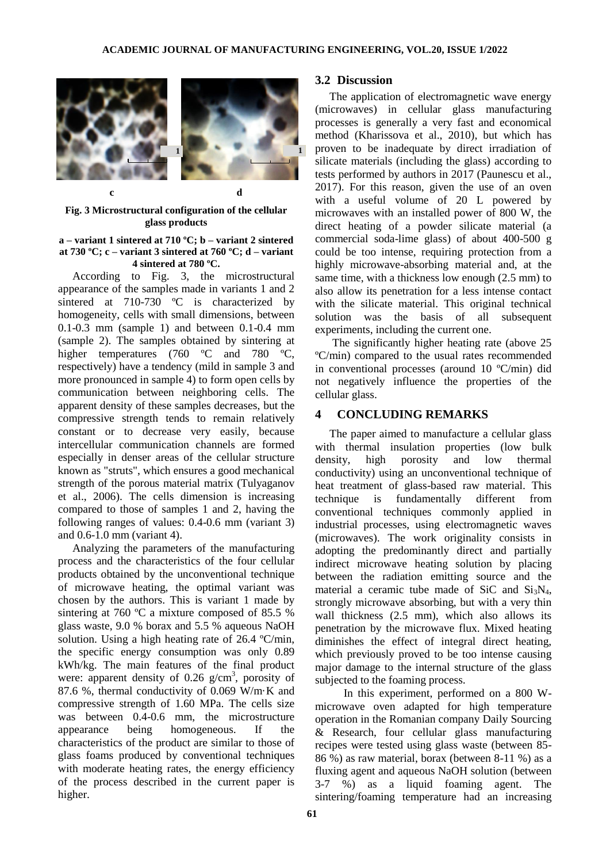

**Fig. 3 Microstructural configuration of the cellular glass products**

#### **a – variant 1 sintered at 710 ºC; b – variant 2 sintered at 730 ºC; c – variant 3 sintered at 760 ºC; d – variant 4 sintered at 780 ºC.**

According to Fig. 3, the microstructural appearance of the samples made in variants 1 and 2 sintered at 710-730 °C is characterized by homogeneity, cells with small dimensions, between 0.1-0.3 mm (sample 1) and between 0.1-0.4 mm (sample 2). The samples obtained by sintering at higher temperatures (760 °C and 780 °C, respectively) have a tendency (mild in sample 3 and more pronounced in sample 4) to form open cells by communication between neighboring cells. The apparent density of these samples decreases, but the compressive strength tends to remain relatively constant or to decrease very easily, because intercellular communication channels are formed especially in denser areas of the cellular structure known as "struts", which ensures a good mechanical strength of the porous material matrix (Tulyaganov et al., 2006). The cells dimension is increasing compared to those of samples 1 and 2, having the following ranges of values: 0.4-0.6 mm (variant 3) and 0.6-1.0 mm (variant 4).

Analyzing the parameters of the manufacturing process and the characteristics of the four cellular products obtained by the unconventional technique of microwave heating, the optimal variant was chosen by the authors. This is variant 1 made by sintering at 760 ºC a mixture composed of 85.5 % glass waste, 9.0 % borax and 5.5 % aqueous NaOH solution. Using a high heating rate of 26.4 ºC/min, the specific energy consumption was only 0.89 kWh/kg. The main features of the final product were: apparent density of  $0.26$  g/cm<sup>3</sup>, porosity of 87.6 %, thermal conductivity of 0.069 W/m·K and compressive strength of 1.60 MPa. The cells size was between 0.4-0.6 mm, the microstructure appearance being homogeneous. If the characteristics of the product are similar to those of glass foams produced by conventional techniques with moderate heating rates, the energy efficiency of the process described in the current paper is higher.

## **3.2 Discussion**

The application of electromagnetic wave energy (microwaves) in cellular glass manufacturing processes is generally a very fast and economical method (Kharissova et al., 2010), but which has proven to be inadequate by direct irradiation of silicate materials (including the glass) according to tests performed by authors in 2017 (Paunescu et al., 2017). For this reason, given the use of an oven with a useful volume of 20 L powered by microwaves with an installed power of 800 W, the direct heating of a powder silicate material (a commercial soda-lime glass) of about 400-500 g could be too intense, requiring protection from a highly microwave-absorbing material and, at the same time, with a thickness low enough (2.5 mm) to also allow its penetration for a less intense contact with the silicate material. This original technical solution was the basis of all subsequent experiments, including the current one.

The significantly higher heating rate (above 25 ºC/min) compared to the usual rates recommended in conventional processes (around 10 ºC/min) did not negatively influence the properties of the cellular glass.

# **4 CONCLUDING REMARKS**

The paper aimed to manufacture a cellular glass with thermal insulation properties (low bulk density, high porosity and low thermal conductivity) using an unconventional technique of heat treatment of glass-based raw material. This technique is fundamentally different from conventional techniques commonly applied in industrial processes, using electromagnetic waves (microwaves). The work originality consists in adopting the predominantly direct and partially indirect microwave heating solution by placing between the radiation emitting source and the material a ceramic tube made of SiC and  $Si<sub>3</sub>N<sub>4</sub>$ , strongly microwave absorbing, but with a very thin wall thickness (2.5 mm), which also allows its penetration by the microwave flux. Mixed heating diminishes the effect of integral direct heating, which previously proved to be too intense causing major damage to the internal structure of the glass subjected to the foaming process.

 In this experiment, performed on a 800 Wmicrowave oven adapted for high temperature operation in the Romanian company Daily Sourcing & Research, four cellular glass manufacturing recipes were tested using glass waste (between 85- 86 %) as raw material, borax (between 8-11 %) as a fluxing agent and aqueous NaOH solution (between 3-7 %) as a liquid foaming agent. The sintering/foaming temperature had an increasing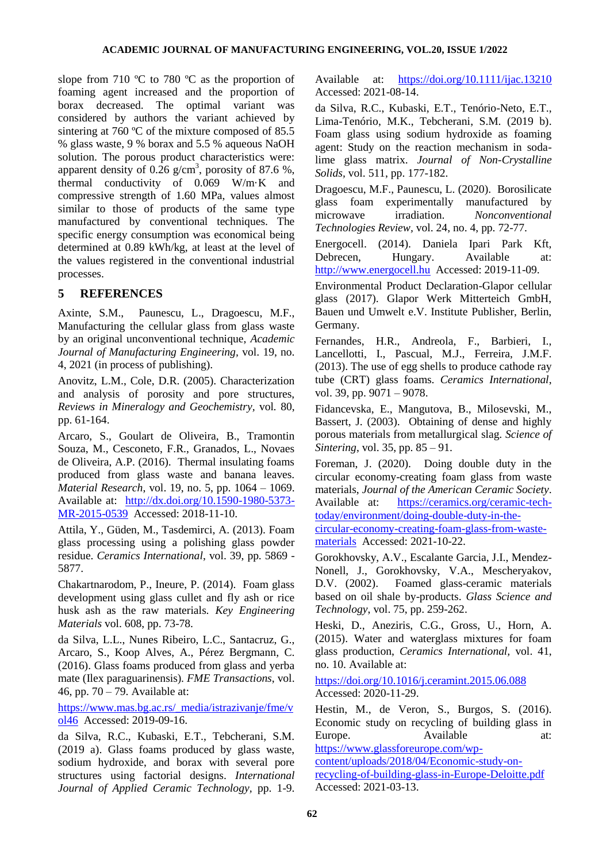slope from 710  $\degree$ C to 780  $\degree$ C as the proportion of foaming agent increased and the proportion of borax decreased. The optimal variant was considered by authors the variant achieved by sintering at 760 °C of the mixture composed of 85.5 % glass waste, 9 % borax and 5.5 % aqueous NaOH solution. The porous product characteristics were: apparent density of  $0.26$  g/cm<sup>3</sup>, porosity of 87.6 %, thermal conductivity of 0.069 W/m·K and compressive strength of 1.60 MPa, values almost similar to those of products of the same type manufactured by conventional techniques. The specific energy consumption was economical being determined at 0.89 kWh/kg, at least at the level of the values registered in the conventional industrial processes.

# **5 REFERENCES**

Axinte, S.M., Paunescu, L., Dragoescu, M.F., Manufacturing the cellular glass from glass waste by an original unconventional technique, *Academic Journal of Manufacturing Engineering,* vol. 19, no. 4, 2021 (in process of publishing).

Anovitz, L.M., Cole, D.R. (2005). Characterization and analysis of porosity and pore structures, *Reviews in Mineralogy and Geochemistry,* vol*.* 80, pp. 61-164.

Arcaro, S., Goulart de Oliveira, B., Tramontin Souza, M., Cesconeto, F.R., Granados, L., Novaes de Oliveira, A.P. (2016). Thermal insulating foams produced from glass waste and banana leaves. *Material Research*, vol. 19, no. 5, pp. 1064 – 1069. Available at: [http://dx.doi.org/10.1590-1980-5373-](http://dx.doi.org/10.1590-1980-5373-MR-2015-0539) [MR-2015-0539](http://dx.doi.org/10.1590-1980-5373-MR-2015-0539) Accessed: 2018-11-10.

Attila, Y., Güden, M., Tasdemirci, A. (2013). Foam glass processing using a polishing glass powder residue. *Ceramics International*, vol. 39, pp. 5869 - 5877.

Chakartnarodom, P., Ineure, P. (2014). Foam glass development using glass cullet and fly ash or rice husk ash as the raw materials. *Key Engineering Materials* vol. 608, pp. 73-78.

da Silva, L.L., Nunes Ribeiro, L.C., Santacruz, G., Arcaro, S., Koop Alves, A., Pérez Bergmann, C. (2016). Glass foams produced from glass and yerba mate (Ilex paraguarinensis). *FME Transactions*, vol. 46, pp. 70 – 79. Available at:

[https://www.mas.bg.ac.rs/\\_media/istrazivanje/fme/v](https://www.mas.bg.ac.rs/_media/istrazivanje/fme/vol46) [ol46](https://www.mas.bg.ac.rs/_media/istrazivanje/fme/vol46) Accessed: 2019-09-16.

da Silva, R.C., Kubaski, E.T., Tebcherani, S.M. (2019 a). Glass foams produced by glass waste, sodium hydroxide, and borax with several pore structures using factorial designs. *International Journal of Applied Ceramic Technology,* pp. 1-9.

Available at: <https://doi.org/10.1111/ijac.13210> Accessed: 2021-08-14.

da Silva, R.C., Kubaski, E.T., Tenório-Neto, E.T., Lima-Tenório, M.K., Tebcherani, S.M. (2019 b). Foam glass using sodium hydroxide as foaming agent: Study on the reaction mechanism in sodalime glass matrix. *Journal of Non-Crystalline Solids,* vol. 511, pp. 177-182.

Dragoescu, M.F., Paunescu, L. (2020). Borosilicate glass foam experimentally manufactured by microwave irradiation. *Nonconventional Technologies Review,* vol. 24, no. 4, pp. 72-77.

Energocell. (2014). Daniela Ipari Park Kft, Debrecen, Hungary. Available at: [http://www.energocell.hu](http://www.energocell.hu/) Accessed: 2019-11-09.

Environmental Product Declaration-Glapor cellular glass (2017). Glapor Werk Mitterteich GmbH, Bauen und Umwelt e.V. Institute Publisher, Berlin, Germany.

Fernandes, H.R., Andreola, F., Barbieri, I., Lancellotti, I., Pascual, M.J., Ferreira, J.M.F. (2013). The use of egg shells to produce cathode ray tube (CRT) glass foams. *Ceramics International*, vol. 39, pp. 9071 – 9078.

Fidancevska, E., Mangutova, B., Milosevski, M., Bassert, J. (2003). Obtaining of dense and highly porous materials from metallurgical slag. *Science of Sintering*, vol. 35, pp. 85 – 91.

Foreman, J. (2020). Doing double duty in the circular economy-creating foam glass from waste materials, *Journal of the American Ceramic Society*. Available at: [https://ceramics.org/ceramic-tech](https://ceramics.org/ceramic-tech-today/environment/doing-double-duty-in-the-circular-economy-creating-foam-glass-from-waste-materials)[today/environment/doing-double-duty-in-the-](https://ceramics.org/ceramic-tech-today/environment/doing-double-duty-in-the-circular-economy-creating-foam-glass-from-waste-materials)

[circular-economy-creating-foam-glass-from-waste](https://ceramics.org/ceramic-tech-today/environment/doing-double-duty-in-the-circular-economy-creating-foam-glass-from-waste-materials)[materials](https://ceramics.org/ceramic-tech-today/environment/doing-double-duty-in-the-circular-economy-creating-foam-glass-from-waste-materials) Accessed: 2021-10-22.

Gorokhovsky, A.V., Escalante Garcia, J.I., Mendez-Nonell, J., Gorokhovsky, V.A., Mescheryakov, D.V. (2002). Foamed glass-ceramic materials based on oil shale by-products. *Glass Science and Technology*, vol. 75, pp. 259-262.

Heski, D., Aneziris, C.G., Gross, U., Horn, A. (2015). Water and waterglass mixtures for foam glass production, *Ceramics International,* vol. 41, no. 10. Available at:

<https://doi.org/10.1016/j.ceramint.2015.06.088> Accessed: 2020-11-29.

Hestin, M., de Veron, S., Burgos, S. (2016). Economic study on recycling of building glass in Europe. Available at: [https://www.glassforeurope.com/wp-](https://www.glassforeurope.com/wp-content/uploads/2018/04/Economic-study-on-recycling-of-building-glass-in-Europe-Deloitte.pdf)

[content/uploads/2018/04/Economic-study-on-](https://www.glassforeurope.com/wp-content/uploads/2018/04/Economic-study-on-recycling-of-building-glass-in-Europe-Deloitte.pdf)

[recycling-of-building-glass-in-Europe-Deloitte.pdf](https://www.glassforeurope.com/wp-content/uploads/2018/04/Economic-study-on-recycling-of-building-glass-in-Europe-Deloitte.pdf)  Accessed: 2021-03-13.